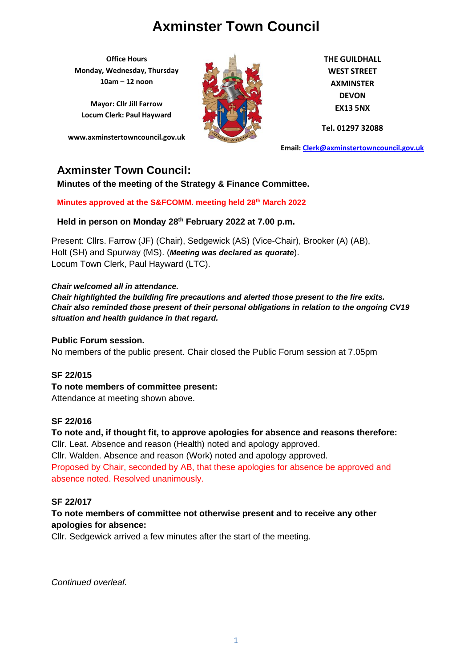**Office Hours Monday, Wednesday, Thursday 10am – 12 noon**

**Mayor: Cllr Jill Farrow Locum Clerk: Paul Hayward**

**www.axminstertowncouncil.gov.uk**



**THE GUILDHALL WEST STREET AXMINSTER DEVON EX13 5NX**

**Tel. 01297 32088**

**Email: [Clerk@axminstertowncouncil.gov.uk](file://///axm-svr-1/company/Templates/Clerk@axminstertowncouncil.gov.uk)**

### **Axminster Town Council:**

**Minutes of the meeting of the Strategy & Finance Committee.**

**Minutes approved at the S&FCOMM. meeting held 28th March 2022**

**Held in person on Monday 28th February 2022 at 7.00 p.m.**

Present: Cllrs. Farrow (JF) (Chair), Sedgewick (AS) (Vice-Chair), Brooker (A) (AB), Holt (SH) and Spurway (MS). (*Meeting was declared as quorate*). Locum Town Clerk, Paul Hayward (LTC).

*Chair welcomed all in attendance.*

*Chair highlighted the building fire precautions and alerted those present to the fire exits. Chair also reminded those present of their personal obligations in relation to the ongoing CV19 situation and health guidance in that regard.*

#### **Public Forum session.**

No members of the public present. Chair closed the Public Forum session at 7.05pm

#### **SF 22/015**

**To note members of committee present:** Attendance at meeting shown above.

#### **SF 22/016**

**To note and, if thought fit, to approve apologies for absence and reasons therefore:** Cllr. Leat. Absence and reason (Health) noted and apology approved. Cllr. Walden. Absence and reason (Work) noted and apology approved.

Proposed by Chair, seconded by AB, that these apologies for absence be approved and absence noted. Resolved unanimously.

#### **SF 22/017**

### **To note members of committee not otherwise present and to receive any other apologies for absence:**

Cllr. Sedgewick arrived a few minutes after the start of the meeting.

*Continued overleaf.*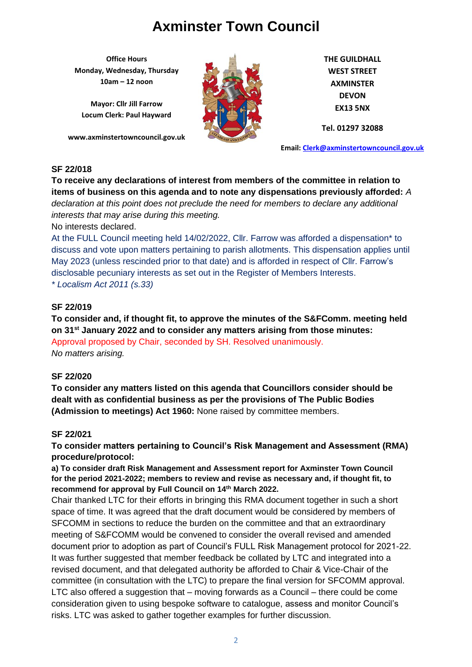**Office Hours Monday, Wednesday, Thursday 10am – 12 noon**

**Mayor: Cllr Jill Farrow Locum Clerk: Paul Hayward**

**www.axminstertowncouncil.gov.uk**



**THE GUILDHALL WEST STREET AXMINSTER DEVON EX13 5NX**

**Tel. 01297 32088**

**Email: [Clerk@axminstertowncouncil.gov.uk](file://///axm-svr-1/company/Templates/Clerk@axminstertowncouncil.gov.uk)**

#### **SF 22/018**

**To receive any declarations of interest from members of the committee in relation to items of business on this agenda and to note any dispensations previously afforded:** *A declaration at this point does not preclude the need for members to declare any additional interests that may arise during this meeting.*

No interests declared.

At the FULL Council meeting held 14/02/2022, Cllr. Farrow was afforded a dispensation\* to discuss and vote upon matters pertaining to parish allotments. This dispensation applies until May 2023 (unless rescinded prior to that date) and is afforded in respect of Cllr. Farrow's disclosable pecuniary interests as set out in the Register of Members Interests.

*\* Localism Act 2011 (s.33)*

### **SF 22/019**

**To consider and, if thought fit, to approve the minutes of the S&FComm. meeting held on 31st January 2022 and to consider any matters arising from those minutes:** Approval proposed by Chair, seconded by SH. Resolved unanimously.

*No matters arising.*

### **SF 22/020**

**To consider any matters listed on this agenda that Councillors consider should be dealt with as confidential business as per the provisions of The Public Bodies (Admission to meetings) Act 1960:** None raised by committee members.

### **SF 22/021**

**To consider matters pertaining to Council's Risk Management and Assessment (RMA) procedure/protocol:**

**a) To consider draft Risk Management and Assessment report for Axminster Town Council for the period 2021-2022; members to review and revise as necessary and, if thought fit, to recommend for approval by Full Council on 14th March 2022.**

Chair thanked LTC for their efforts in bringing this RMA document together in such a short space of time. It was agreed that the draft document would be considered by members of SFCOMM in sections to reduce the burden on the committee and that an extraordinary meeting of S&FCOMM would be convened to consider the overall revised and amended document prior to adoption as part of Council's FULL Risk Management protocol for 2021-22. It was further suggested that member feedback be collated by LTC and integrated into a revised document, and that delegated authority be afforded to Chair & Vice-Chair of the committee (in consultation with the LTC) to prepare the final version for SFCOMM approval. LTC also offered a suggestion that – moving forwards as a Council – there could be come consideration given to using bespoke software to catalogue, assess and monitor Council's risks. LTC was asked to gather together examples for further discussion.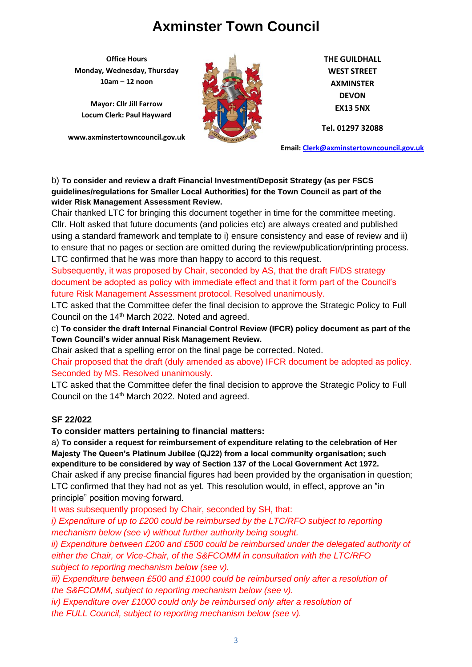**Office Hours Monday, Wednesday, Thursday 10am – 12 noon**

**Mayor: Cllr Jill Farrow Locum Clerk: Paul Hayward**

**www.axminstertowncouncil.gov.uk**



**THE GUILDHALL WEST STREET AXMINSTER DEVON EX13 5NX**

**Tel. 01297 32088**

**Email: [Clerk@axminstertowncouncil.gov.uk](file://///axm-svr-1/company/Templates/Clerk@axminstertowncouncil.gov.uk)**

#### b) **To consider and review a draft Financial Investment/Deposit Strategy (as per FSCS guidelines/regulations for Smaller Local Authorities) for the Town Council as part of the wider Risk Management Assessment Review.**

**TEL: 01297 32088** Cllr. Holt asked that future documents (and policies etc) are always created and published Chair thanked LTC for bringing this document together in time for the committee meeting. using a standard framework and template to i) ensure consistency and ease of review and ii) to ensure that no pages or section are omitted during the review/publication/printing process. LTC confirmed that he was more than happy to accord to this request.

Subsequently, it was proposed by Chair, seconded by AS, that the draft FI/DS strategy document be adopted as policy with immediate effect and that it form part of the Council's future Risk Management Assessment protocol. Resolved unanimously.

LTC asked that the Committee defer the final decision to approve the Strategic Policy to Full Council on the 14<sup>th</sup> March 2022. Noted and agreed.

c) **To consider the draft Internal Financial Control Review (IFCR) policy document as part of the Town Council's wider annual Risk Management Review.**

Chair asked that a spelling error on the final page be corrected. Noted.

Chair proposed that the draft (duly amended as above) IFCR document be adopted as policy. Seconded by MS. Resolved unanimously.

LTC asked that the Committee defer the final decision to approve the Strategic Policy to Full Council on the 14<sup>th</sup> March 2022. Noted and agreed.

### **SF 22/022**

**To consider matters pertaining to financial matters:**

a) **To consider a request for reimbursement of expenditure relating to the celebration of Her Majesty The Queen's Platinum Jubilee (QJ22) from a local community organisation; such expenditure to be considered by way of Section 137 of the Local Government Act 1972.** Chair asked if any precise financial figures had been provided by the organisation in question; LTC confirmed that they had not as yet. This resolution would, in effect, approve an "in principle" position moving forward.

It was subsequently proposed by Chair, seconded by SH, that:

*i)* Expenditure of up to £200 could be reimbursed by the LTC/RFO subject to reporting *mechanism below (see v) without further authority being sought.*

*ii) Expenditure between £200 and £500 could be reimbursed under the delegated authority of either the Chair, or Vice-Chair, of the S&FCOMM in consultation with the LTC/RFO subject to reporting mechanism below (see v).*

*iii) Expenditure between £500 and £1000 could be reimbursed only after a resolution of the S&FCOMM, subject to reporting mechanism below (see v).*

*iv)* Expenditure over £1000 could only be reimbursed only after a resolution of *the FULL Council, subject to reporting mechanism below (see v).*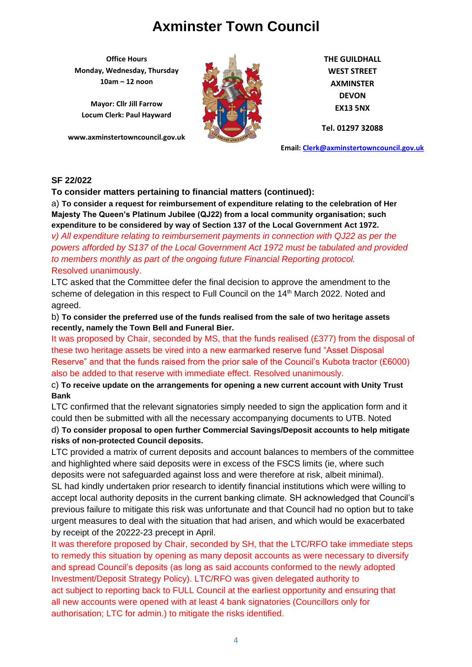**Office Hours Monday, Wednesday, Thursday 10am – 12 noon**

**Mayor: Cllr Jill Farrow Locum Clerk: Paul Hayward**

**www.axminstertowncouncil.gov.uk**



**THE GUILDHALL WEST STREET AXMINSTER DEVON EX13 5NX**

**Tel. 01297 32088**

**Email: [Clerk@axminstertowncouncil.gov.uk](file://///axm-svr-1/company/Templates/Clerk@axminstertowncouncil.gov.uk)**

#### **SF 22/022**

**To consider matters pertaining to financial matters (continued):**

**TEL: 01297 32088 expenditure to be considered by way of Section 137 of the Local Government Act 1972.** a) **To consider a request for reimbursement of expenditure relating to the celebration of Her Majesty The Queen's Platinum Jubilee (QJ22) from a local community organisation; such** 

*v) All expenditure relating to reimbursement payments in connection with QJ22 as per the powers afforded by S137 of the Local Government Act 1972 must be tabulated and provided to members monthly as part of the ongoing future Financial Reporting protocol.* Resolved unanimously.

LTC asked that the Committee defer the final decision to approve the amendment to the scheme of delegation in this respect to Full Council on the 14<sup>th</sup> March 2022. Noted and agreed.

b) **To consider the preferred use of the funds realised from the sale of two heritage assets recently, namely the Town Bell and Funeral Bier.**

It was proposed by Chair, seconded by MS, that the funds realised (£377) from the disposal of these two heritage assets be vired into a new earmarked reserve fund "Asset Disposal Reserve" and that the funds raised from the prior sale of the Council's Kubota tractor (£6000) also be added to that reserve with immediate effect. Resolved unanimously.

c) **To receive update on the arrangements for opening a new current account with Unity Trust Bank**

LTC confirmed that the relevant signatories simply needed to sign the application form and it could then be submitted with all the necessary accompanying documents to UTB. Noted

d) **To consider proposal to open further Commercial Savings/Deposit accounts to help mitigate risks of non-protected Council deposits.**

LTC provided a matrix of current deposits and account balances to members of the committee and highlighted where said deposits were in excess of the FSCS limits (ie, where such deposits were not safeguarded against loss and were therefore at risk, albeit minimal). SL had kindly undertaken prior research to identify financial institutions which were willing to accept local authority deposits in the current banking climate. SH acknowledged that Council's previous failure to mitigate this risk was unfortunate and that Council had no option but to take urgent measures to deal with the situation that had arisen, and which would be exacerbated by receipt of the 20222-23 precept in April.

It was therefore proposed by Chair, seconded by SH, that the LTC/RFO take immediate steps to remedy this situation by opening as many deposit accounts as were necessary to diversify and spread Council's deposits (as long as said accounts conformed to the newly adopted Investment/Deposit Strategy Policy). LTC/RFO was given delegated authority to act subject to reporting back to FULL Council at the earliest opportunity and ensuring that all new accounts were opened with at least 4 bank signatories (Councillors only for authorisation; LTC for admin.) to mitigate the risks identified.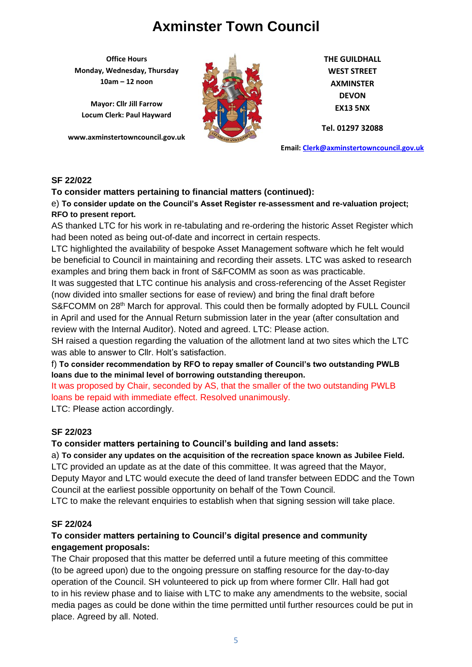**Office Hours Monday, Wednesday, Thursday 10am – 12 noon**

**Mayor: Cllr Jill Farrow Locum Clerk: Paul Hayward**

**www.axminstertowncouncil.gov.uk**



**THE GUILDHALL WEST STREET AXMINSTER DEVON EX13 5NX**

**Tel. 01297 32088**

**Email: [Clerk@axminstertowncouncil.gov.uk](file://///axm-svr-1/company/Templates/Clerk@axminstertowncouncil.gov.uk)**

#### **SF 22/022**

#### **To consider matters pertaining to financial matters (continued):**

e) **To consider update on the Council's Asset Register re-assessment and re-valuation project; RFO to present report.**

n. e to prosont report.<br>AS thanked LTC for his work in re-tabulating and re-ordering the historic Asset Register which had been noted as being out-of-date and incorrect in certain respects.

LTC highlighted the availability of bespoke Asset Management software which he felt would be beneficial to Council in maintaining and recording their assets. LTC was asked to research examples and bring them back in front of S&FCOMM as soon as was practicable.

It was suggested that LTC continue his analysis and cross-referencing of the Asset Register (now divided into smaller sections for ease of review) and bring the final draft before S&FCOMM on 28<sup>th</sup> March for approval. This could then be formally adopted by FULL Council in April and used for the Annual Return submission later in the year (after consultation and review with the Internal Auditor). Noted and agreed. LTC: Please action.

SH raised a question regarding the valuation of the allotment land at two sites which the LTC was able to answer to Cllr. Holt's satisfaction.

### f) **To consider recommendation by RFO to repay smaller of Council's two outstanding PWLB loans due to the minimal level of borrowing outstanding thereupon.**

It was proposed by Chair, seconded by AS, that the smaller of the two outstanding PWLB loans be repaid with immediate effect. Resolved unanimously.

LTC: Please action accordingly.

### **SF 22/023**

### **To consider matters pertaining to Council's building and land assets:**

a) **To consider any updates on the acquisition of the recreation space known as Jubilee Field.** LTC provided an update as at the date of this committee. It was agreed that the Mayor,

Deputy Mayor and LTC would execute the deed of land transfer between EDDC and the Town Council at the earliest possible opportunity on behalf of the Town Council.

LTC to make the relevant enquiries to establish when that signing session will take place.

#### **SF 22/024**

### **To consider matters pertaining to Council's digital presence and community engagement proposals:**

The Chair proposed that this matter be deferred until a future meeting of this committee (to be agreed upon) due to the ongoing pressure on staffing resource for the day-to-day operation of the Council. SH volunteered to pick up from where former Cllr. Hall had got to in his review phase and to liaise with LTC to make any amendments to the website, social media pages as could be done within the time permitted until further resources could be put in place. Agreed by all. Noted.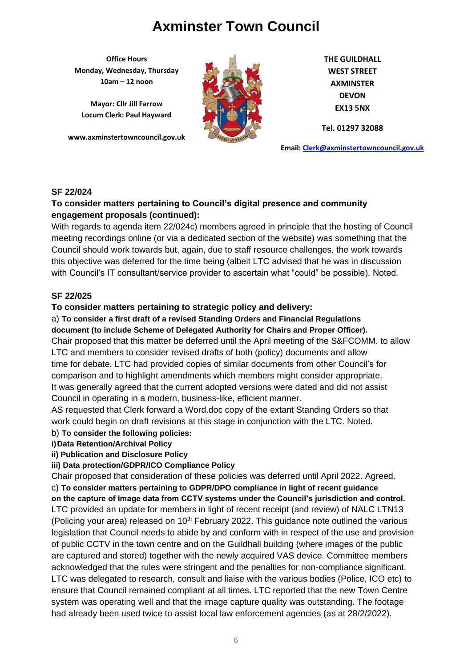**Office Hours Monday, Wednesday, Thursday 10am – 12 noon**

**Mayor: Cllr Jill Farrow Locum Clerk: Paul Hayward**

**www.axminstertowncouncil.gov.uk**



**THE GUILDHALL WEST STREET AXMINSTER DEVON EX13 5NX**

**Tel. 01297 32088**

**Email: [Clerk@axminstertowncouncil.gov.uk](file://///axm-svr-1/company/Templates/Clerk@axminstertowncouncil.gov.uk)**

#### **SF 22/024**

### **To consider matters pertaining to Council's digital presence and community engagement proposals (continued):**

**TEL:** 0.297 3208 With regards to agenda item 22/024c) members agreed in principle that the hosting of Council meeting recordings online (or via a dedicated section of the website) was something that the Council should work towards but, again, due to staff resource challenges, the work towards this objective was deferred for the time being (albeit LTC advised that he was in discussion with Council's IT consultant/service provider to ascertain what "could" be possible). Noted.

#### **SF 22/025**

#### **To consider matters pertaining to strategic policy and delivery:**

a) **To consider a first draft of a revised Standing Orders and Financial Regulations** 

**document (to include Scheme of Delegated Authority for Chairs and Proper Officer).** Chair proposed that this matter be deferred until the April meeting of the S&FCOMM. to allow LTC and members to consider revised drafts of both (policy) documents and allow time for debate. LTC had provided copies of similar documents from other Council's for comparison and to highlight amendments which members might consider appropriate. It was generally agreed that the current adopted versions were dated and did not assist Council in operating in a modern, business-like, efficient manner.

AS requested that Clerk forward a Word.doc copy of the extant Standing Orders so that work could begin on draft revisions at this stage in conjunction with the LTC. Noted.

#### b) **To consider the following policies:**

**i)Data Retention/Archival Policy**

**ii) Publication and Disclosure Policy**

**iii) Data protection/GDPR/ICO Compliance Policy**

Chair proposed that consideration of these policies was deferred until April 2022. Agreed.

c) **To consider matters pertaining to GDPR/DPO compliance in light of recent guidance** 

**on the capture of image data from CCTV systems under the Council's jurisdiction and control.** LTC provided an update for members in light of recent receipt (and review) of NALC LTN13 (Policing your area) released on  $10<sup>th</sup>$  February 2022. This guidance note outlined the various legislation that Council needs to abide by and conform with in respect of the use and provision of public CCTV in the town centre and on the Guildhall building (where images of the public are captured and stored) together with the newly acquired VAS device. Committee members acknowledged that the rules were stringent and the penalties for non-compliance significant. LTC was delegated to research, consult and liaise with the various bodies (Police, ICO etc) to ensure that Council remained compliant at all times. LTC reported that the new Town Centre system was operating well and that the image capture quality was outstanding. The footage had already been used twice to assist local law enforcement agencies (as at 28/2/2022).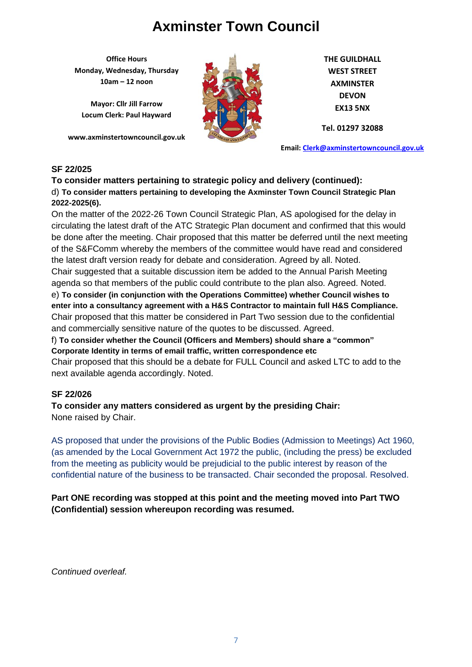**Office Hours Monday, Wednesday, Thursday 10am – 12 noon**

**Mayor: Cllr Jill Farrow Locum Clerk: Paul Hayward**

**www.axminstertowncouncil.gov.uk**



**THE GUILDHALL WEST STREET AXMINSTER DEVON EX13 5NX**

**Tel. 01297 32088**

**Email: [Clerk@axminstertowncouncil.gov.uk](file://///axm-svr-1/company/Templates/Clerk@axminstertowncouncil.gov.uk)**

### **SF 22/025**

#### **To consider matters pertaining to strategic policy and delivery (continued):** d) **To consider matters pertaining to developing the Axminster Town Council Strategic Plan 2022-2025(6).**

**TEL: 01297 32088** circulating the latest draft of the ATC Strategic Plan document and confirmed that this would On the matter of the 2022-26 Town Council Strategic Plan, AS apologised for the delay in be done after the meeting. Chair proposed that this matter be deferred until the next meeting of the S&FComm whereby the members of the committee would have read and considered the latest draft version ready for debate and consideration. Agreed by all. Noted.

Chair suggested that a suitable discussion item be added to the Annual Parish Meeting agenda so that members of the public could contribute to the plan also. Agreed. Noted.

e) **To consider (in conjunction with the Operations Committee) whether Council wishes to enter into a consultancy agreement with a H&S Contractor to maintain full H&S Compliance.** Chair proposed that this matter be considered in Part Two session due to the confidential and commercially sensitive nature of the quotes to be discussed. Agreed.

f) **To consider whether the Council (Officers and Members) should share a "common" Corporate Identity in terms of email traffic, written correspondence etc**

Chair proposed that this should be a debate for FULL Council and asked LTC to add to the next available agenda accordingly. Noted.

### **SF 22/026**

**To consider any matters considered as urgent by the presiding Chair:** None raised by Chair.

AS proposed that under the provisions of the Public Bodies (Admission to Meetings) Act 1960, (as amended by the Local Government Act 1972 the public, (including the press) be excluded from the meeting as publicity would be prejudicial to the public interest by reason of the confidential nature of the business to be transacted. Chair seconded the proposal. Resolved.

**Part ONE recording was stopped at this point and the meeting moved into Part TWO (Confidential) session whereupon recording was resumed.**

*Continued overleaf.*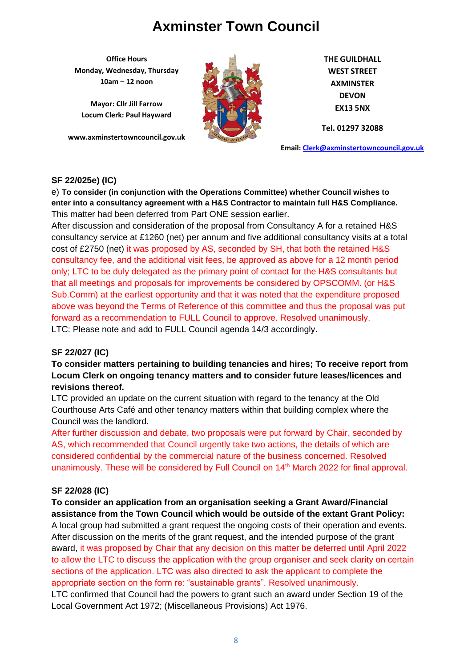**Office Hours Monday, Wednesday, Thursday 10am – 12 noon**

**Mayor: Cllr Jill Farrow Locum Clerk: Paul Hayward**

**www.axminstertowncouncil.gov.uk**



**THE GUILDHALL WEST STREET AXMINSTER DEVON EX13 5NX**

**Tel. 01297 32088**

**Email: [Clerk@axminstertowncouncil.gov.uk](file://///axm-svr-1/company/Templates/Clerk@axminstertowncouncil.gov.uk)**

#### **SF 22/025e) (IC)**

e) **To consider (in conjunction with the Operations Committee) whether Council wishes to enter into a consultancy agreement with a H&S Contractor to maintain full H&S Compliance.** This matter had been deferred from Part ONE session earlier.

The matter had been deferred from Fart Strandscoller same.<br>After discussion and consideration of the proposal from Consultancy A for a retained H&S consultancy service at £1260 (net) per annum and five additional consultancy visits at a total cost of £2750 (net) it was proposed by AS, seconded by SH, that both the retained H&S consultancy fee, and the additional visit fees, be approved as above for a 12 month period only; LTC to be duly delegated as the primary point of contact for the H&S consultants but that all meetings and proposals for improvements be considered by OPSCOMM. (or H&S Sub.Comm) at the earliest opportunity and that it was noted that the expenditure proposed above was beyond the Terms of Reference of this committee and thus the proposal was put forward as a recommendation to FULL Council to approve. Resolved unanimously. LTC: Please note and add to FULL Council agenda 14/3 accordingly.

### **SF 22/027 (IC)**

**To consider matters pertaining to building tenancies and hires; To receive report from Locum Clerk on ongoing tenancy matters and to consider future leases/licences and revisions thereof.**

LTC provided an update on the current situation with regard to the tenancy at the Old Courthouse Arts Café and other tenancy matters within that building complex where the Council was the landlord.

After further discussion and debate, two proposals were put forward by Chair, seconded by AS, which recommended that Council urgently take two actions, the details of which are considered confidential by the commercial nature of the business concerned. Resolved unanimously. These will be considered by Full Council on 14<sup>th</sup> March 2022 for final approval.

### **SF 22/028 (IC)**

**To consider an application from an organisation seeking a Grant Award/Financial assistance from the Town Council which would be outside of the extant Grant Policy:** A local group had submitted a grant request the ongoing costs of their operation and events. After discussion on the merits of the grant request, and the intended purpose of the grant award, it was proposed by Chair that any decision on this matter be deferred until April 2022 to allow the LTC to discuss the application with the group organiser and seek clarity on certain sections of the application. LTC was also directed to ask the applicant to complete the appropriate section on the form re: "sustainable grants". Resolved unanimously. LTC confirmed that Council had the powers to grant such an award under Section 19 of the Local Government Act 1972; (Miscellaneous Provisions) Act 1976.